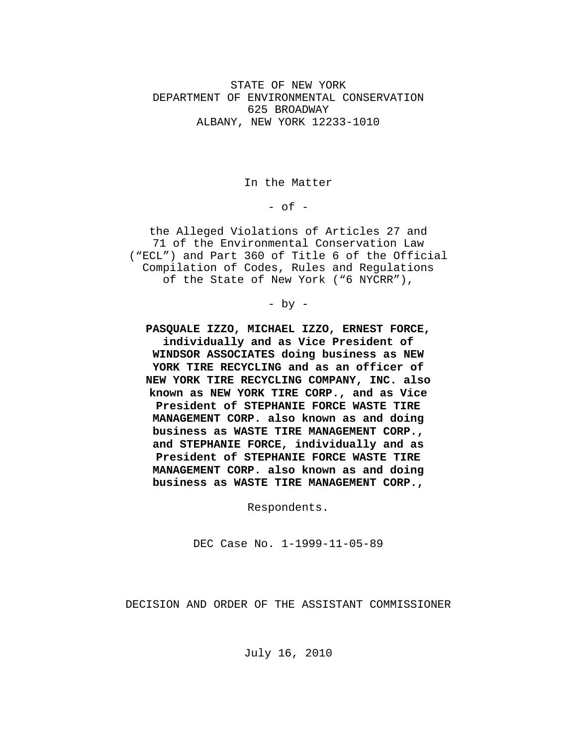STATE OF NEW YORK DEPARTMENT OF ENVIRONMENTAL CONSERVATION 625 BROADWAY ALBANY, NEW YORK 12233-1010

In the Matter

 $-$  of  $-$ 

the Alleged Violations of Articles 27 and 71 of the Environmental Conservation Law ("ECL") and Part 360 of Title 6 of the Official Compilation of Codes, Rules and Regulations of the State of New York ("6 NYCRR"),

- by -

**PASQUALE IZZO, MICHAEL IZZO, ERNEST FORCE, individually and as Vice President of WINDSOR ASSOCIATES doing business as NEW YORK TIRE RECYCLING and as an officer of NEW YORK TIRE RECYCLING COMPANY, INC. also known as NEW YORK TIRE CORP., and as Vice President of STEPHANIE FORCE WASTE TIRE MANAGEMENT CORP. also known as and doing business as WASTE TIRE MANAGEMENT CORP., and STEPHANIE FORCE, individually and as President of STEPHANIE FORCE WASTE TIRE MANAGEMENT CORP. also known as and doing business as WASTE TIRE MANAGEMENT CORP.,**

Respondents.

DEC Case No. 1-1999-11-05-89

DECISION AND ORDER OF THE ASSISTANT COMMISSIONER

July 16, 2010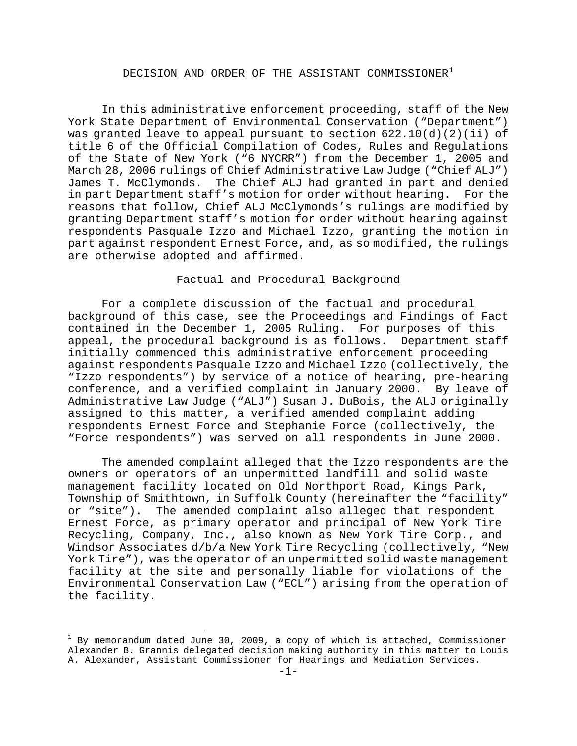# DECISION AND ORDER OF THE ASSISTANT COMMISSIONER<sup>[1](#page-1-0)</sup>

 In this administrative enforcement proceeding, staff of the New York State Department of Environmental Conservation ("Department") was granted leave to appeal pursuant to section  $622.10(d)(2)(ii)$  of title 6 of the Official Compilation of Codes, Rules and Regulations of the State of New York ("6 NYCRR") from the December 1, 2005 and March 28, 2006 rulings of Chief Administrative Law Judge ("Chief ALJ") James T. McClymonds. The Chief ALJ had granted in part and denied in part Department staff's motion for order without hearing. For the reasons that follow, Chief ALJ McClymonds's rulings are modified by granting Department staff's motion for order without hearing against respondents Pasquale Izzo and Michael Izzo, granting the motion in part against respondent Ernest Force, and, as so modified, the rulings are otherwise adopted and affirmed.

#### Factual and Procedural Background

 For a complete discussion of the factual and procedural background of this case, see the Proceedings and Findings of Fact contained in the December 1, 2005 Ruling. For purposes of this appeal, the procedural background is as follows. Department staff initially commenced this administrative enforcement proceeding against respondents Pasquale Izzo and Michael Izzo (collectively, the "Izzo respondents") by service of a notice of hearing, pre-hearing conference, and a verified complaint in January 2000. By leave of Administrative Law Judge ("ALJ") Susan J. DuBois, the ALJ originally assigned to this matter, a verified amended complaint adding respondents Ernest Force and Stephanie Force (collectively, the "Force respondents") was served on all respondents in June 2000.

 The amended complaint alleged that the Izzo respondents are the owners or operators of an unpermitted landfill and solid waste management facility located on Old Northport Road, Kings Park, Township of Smithtown, in Suffolk County (hereinafter the "facility" or "site"). The amended complaint also alleged that respondent Ernest Force, as primary operator and principal of New York Tire Recycling, Company, Inc., also known as New York Tire Corp., and Windsor Associates d/b/a New York Tire Recycling (collectively, "New York Tire"), was the operator of an unpermitted solid waste management facility at the site and personally liable for violations of the Environmental Conservation Law ("ECL") arising from the operation of the facility.

<span id="page-1-0"></span> 1 By memorandum dated June 30, 2009, a copy of which is attached, Commissioner Alexander B. Grannis delegated decision making authority in this matter to Louis A. Alexander, Assistant Commissioner for Hearings and Mediation Services.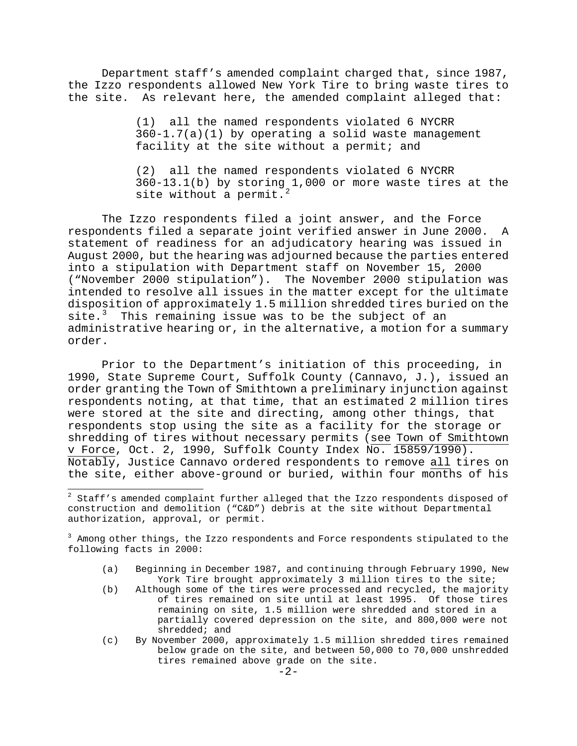Department staff's amended complaint charged that, since 1987, the Izzo respondents allowed New York Tire to bring waste tires to the site. As relevant here, the amended complaint alleged that:

> (1) all the named respondents violated 6 NYCRR 360-1.7(a)(1) by operating a solid waste management facility at the site without a permit; and

(2) all the named respondents violated 6 NYCRR 360-13.1(b) by storing 1,000 or more waste tires at the site without a permit.

 The Izzo respondents filed a joint answer, and the Force respondents filed a separate joint verified answer in June 2000. A statement of readiness for an adjudicatory hearing was issued in August 2000, but the hearing was adjourned because the parties entered into a stipulation with Department staff on November 15, 2000 ("November 2000 stipulation"). The November 2000 stipulation was intended to resolve all issues in the matter except for the ultimate disposition of approximately 1.5 million shredded tires buried on the site. $3$  This remaining issue was to be the subject of an administrative hearing or, in the alternative, a motion for a summary order.

 Prior to the Department's initiation of this proceeding, in 1990, State Supreme Court, Suffolk County (Cannavo, J.), issued an order granting the Town of Smithtown a preliminary injunction against respondents noting, at that time, that an estimated 2 million tires were stored at the site and directing, among other things, that respondents stop using the site as a facility for the storage or shredding of tires without necessary permits (see Town of Smithtown v Force, Oct. 2, 1990, Suffolk County Index No. 15859/1990). Notably, Justice Cannavo ordered respondents to remove all tires on the site, either above-ground or buried, within four months of his

- (a) Beginning in December 1987, and continuing through February 1990, New York Tire brought approximately 3 million tires to the site;
- (b) Although some of the tires were processed and recycled, the majority of tires remained on site until at least 1995. Of those tires remaining on site, 1.5 million were shredded and stored in a partially covered depression on the site, and 800,000 were not shredded; and
- (c) By November 2000, approximately 1.5 million shredded tires remained below grade on the site, and between 50,000 to 70,000 unshredded tires remained above grade on the site.

<span id="page-2-0"></span> 2 Staff's amended complaint further alleged that the Izzo respondents disposed of construction and demolition ("C&D") debris at the site without Departmental authorization, approval, or permit.

<span id="page-2-1"></span><sup>&</sup>lt;sup>3</sup> Among other things, the Izzo respondents and Force respondents stipulated to the following facts in 2000: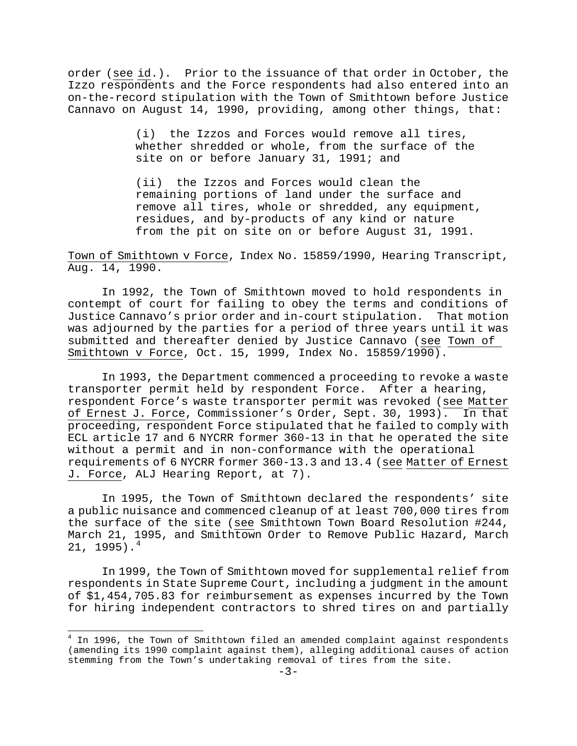order (see id.). Prior to the issuance of that order in October, the Izzo respondents and the Force respondents had also entered into an on-the-record stipulation with the Town of Smithtown before Justice Cannavo on August 14, 1990, providing, among other things, that:

> (i) the Izzos and Forces would remove all tires, whether shredded or whole, from the surface of the site on or before January 31, 1991; and

 (ii) the Izzos and Forces would clean the remaining portions of land under the surface and remove all tires, whole or shredded, any equipment, residues, and by-products of any kind or nature from the pit on site on or before August 31, 1991.

Town of Smithtown v Force, Index No. 15859/1990, Hearing Transcript, Aug. 14, 1990.

 In 1992, the Town of Smithtown moved to hold respondents in contempt of court for failing to obey the terms and conditions of Justice Cannavo's prior order and in-court stipulation. That motion was adjourned by the parties for a period of three years until it was submitted and thereafter denied by Justice Cannavo (see Town of Smithtown v Force, Oct. 15, 1999, Index No. 15859/1990).

 In 1993, the Department commenced a proceeding to revoke a waste transporter permit held by respondent Force. After a hearing, respondent Force's waste transporter permit was revoked (see Matter of Ernest J. Force, Commissioner's Order, Sept. 30, 1993). In that proceeding, respondent Force stipulated that he failed to comply with ECL article 17 and 6 NYCRR former 360-13 in that he operated the site without a permit and in non-conformance with the operational requirements of 6 NYCRR former 360-13.3 and 13.4 (see Matter of Ernest J. Force, ALJ Hearing Report, at 7).

 In 1995, the Town of Smithtown declared the respondents' site a public nuisance and commenced cleanup of at least 700,000 tires from the surface of the site (see Smithtown Town Board Resolution #244, March 21, [199](#page-3-0)5, and Smithtown Order to Remove Public Hazard, March  $21, 1995$ .<sup>4</sup>

 In 1999, the Town of Smithtown moved for supplemental relief from respondents in State Supreme Court, including a judgment in the amount of \$1,454,705.83 for reimbursement as expenses incurred by the Town for hiring independent contractors to shred tires on and partially

<span id="page-3-0"></span> 4 In 1996, the Town of Smithtown filed an amended complaint against respondents (amending its 1990 complaint against them), alleging additional causes of action stemming from the Town's undertaking removal of tires from the site.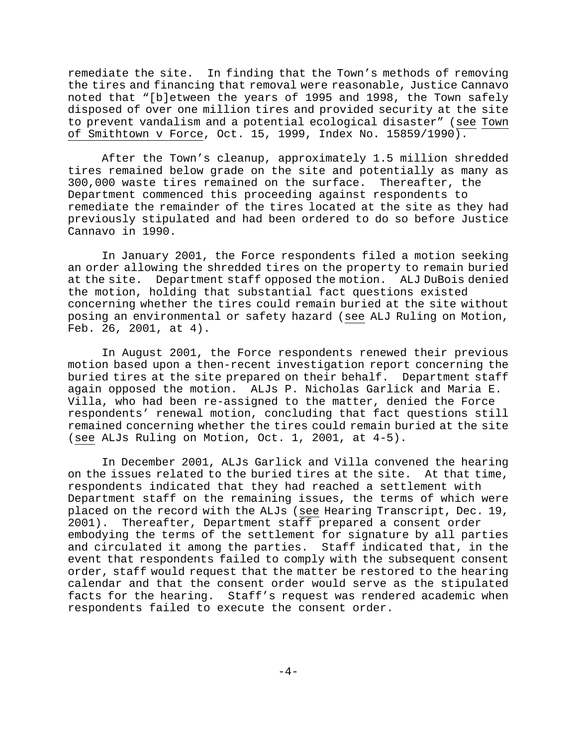remediate the site. In finding that the Town's methods of removing the tires and financing that removal were reasonable, Justice Cannavo noted that "[b]etween the years of 1995 and 1998, the Town safely disposed of over one million tires and provided security at the site to prevent vandalism and a potential ecological disaster" (see Town of Smithtown v Force, Oct. 15, 1999, Index No. 15859/1990).

 After the Town's cleanup, approximately 1.5 million shredded tires remained below grade on the site and potentially as many as 300,000 waste tires remained on the surface. Thereafter, the Department commenced this proceeding against respondents to remediate the remainder of the tires located at the site as they had previously stipulated and had been ordered to do so before Justice Cannavo in 1990.

 In January 2001, the Force respondents filed a motion seeking an order allowing the shredded tires on the property to remain buried at the site. Department staff opposed the motion. ALJ DuBois denied the motion, holding that substantial fact questions existed concerning whether the tires could remain buried at the site without posing an environmental or safety hazard (see ALJ Ruling on Motion, Feb. 26, 2001, at 4).

 In August 2001, the Force respondents renewed their previous motion based upon a then-recent investigation report concerning the buried tires at the site prepared on their behalf. Department staff again opposed the motion. ALJs P. Nicholas Garlick and Maria E. Villa, who had been re-assigned to the matter, denied the Force respondents' renewal motion, concluding that fact questions still remained concerning whether the tires could remain buried at the site (see ALJs Ruling on Motion, Oct. 1, 2001, at 4-5).

 In December 2001, ALJs Garlick and Villa convened the hearing on the issues related to the buried tires at the site. At that time, respondents indicated that they had reached a settlement with Department staff on the remaining issues, the terms of which were placed on the record with the ALJs (see Hearing Transcript, Dec. 19, 2001). Thereafter, Department staff prepared a consent order embodying the terms of the settlement for signature by all parties and circulated it among the parties. Staff indicated that, in the event that respondents failed to comply with the subsequent consent order, staff would request that the matter be restored to the hearing calendar and that the consent order would serve as the stipulated facts for the hearing. Staff's request was rendered academic when respondents failed to execute the consent order.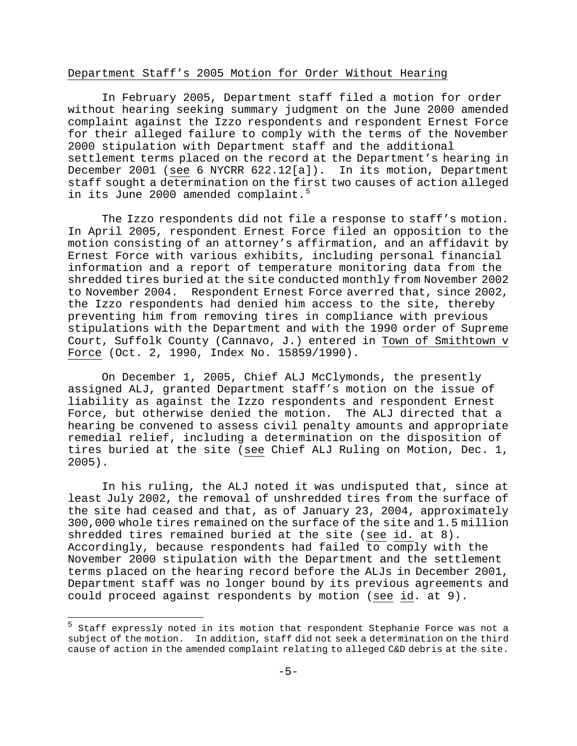## Department Staff's 2005 Motion for Order Without Hearing

 In February 2005, Department staff filed a motion for order without hearing seeking summary judgment on the June 2000 amended complaint against the Izzo respondents and respondent Ernest Force for their alleged failure to comply with the terms of the November 2000 stipulation with Department staff and the additional settlement terms placed on the record at the Department's hearing in December 2001 (see 6 NYCRR 622.12[a]). In its motion, Department staff sought a determination on the f[irs](#page-5-0)t two causes of action alleged in its June 2000 amended complaint.<sup>5</sup>

 The Izzo respondents did not file a response to staff's motion. In April 2005, respondent Ernest Force filed an opposition to the motion consisting of an attorney's affirmation, and an affidavit by Ernest Force with various exhibits, including personal financial information and a report of temperature monitoring data from the shredded tires buried at the site conducted monthly from November 2002 to November 2004. Respondent Ernest Force averred that, since 2002, the Izzo respondents had denied him access to the site, thereby preventing him from removing tires in compliance with previous stipulations with the Department and with the 1990 order of Supreme Court, Suffolk County (Cannavo, J.) entered in Town of Smithtown v Force (Oct. 2, 1990, Index No. 15859/1990).

 On December 1, 2005, Chief ALJ McClymonds, the presently assigned ALJ, granted Department staff's motion on the issue of liability as against the Izzo respondents and respondent Ernest Force, but otherwise denied the motion. The ALJ directed that a hearing be convened to assess civil penalty amounts and appropriate remedial relief, including a determination on the disposition of tires buried at the site (see Chief ALJ Ruling on Motion, Dec. 1, 2005).

 In his ruling, the ALJ noted it was undisputed that, since at least July 2002, the removal of unshredded tires from the surface of the site had ceased and that, as of January 23, 2004, approximately 300,000 whole tires remained on the surface of the site and 1.5 million shredded tires remained buried at the site (see id. at 8). Accordingly, because respondents had failed to comply with the November 2000 stipulation with the Department and the settlement terms placed on the hearing record before the ALJs in December 2001, Department staff was no longer bound by its previous agreements and could proceed against respondents by motion (see id. at 9).

i

<span id="page-5-0"></span><sup>&</sup>lt;sup>5</sup> Staff expressly noted in its motion that respondent Stephanie Force was not a subject of the motion. In addition, staff did not seek a determination on the third cause of action in the amended complaint relating to alleged C&D debris at the site.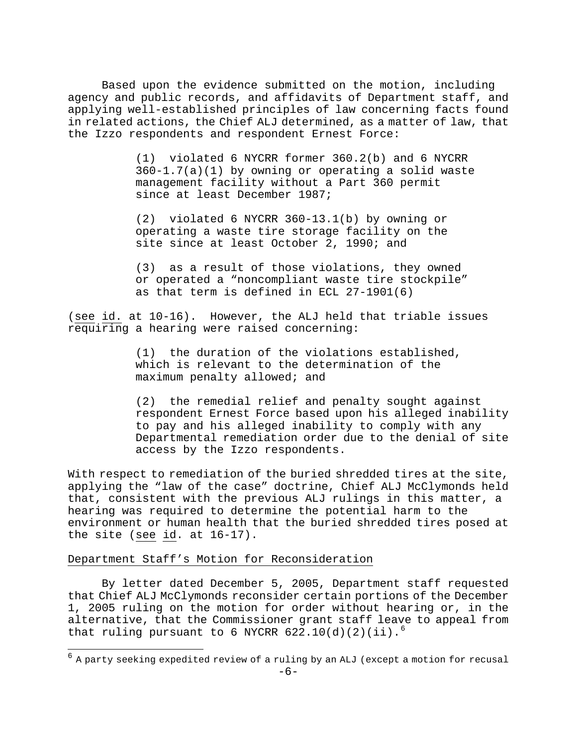Based upon the evidence submitted on the motion, including agency and public records, and affidavits of Department staff, and applying well-established principles of law concerning facts found in related actions, the Chief ALJ determined, as a matter of law, that the Izzo respondents and respondent Ernest Force:

> (1) violated 6 NYCRR former 360.2(b) and 6 NYCRR 360-1.7(a)(1) by owning or operating a solid waste management facility without a Part 360 permit since at least December 1987;

 (2) violated 6 NYCRR 360-13.1(b) by owning or operating a waste tire storage facility on the site since at least October 2, 1990; and

 (3) as a result of those violations, they owned or operated a "noncompliant waste tire stockpile" as that term is defined in ECL 27-1901(6)

(see id. at 10-16). However, the ALJ held that triable issues requiring a hearing were raised concerning:

> (1) the duration of the violations established, which is relevant to the determination of the maximum penalty allowed; and

(2) the remedial relief and penalty sought against respondent Ernest Force based upon his alleged inability to pay and his alleged inability to comply with any Departmental remediation order due to the denial of site access by the Izzo respondents.

With respect to remediation of the buried shredded tires at the site, applying the "law of the case" doctrine, Chief ALJ McClymonds held that, consistent with the previous ALJ rulings in this matter, a hearing was required to determine the potential harm to the environment or human health that the buried shredded tires posed at the site (see id. at 16-17).

## Department Staff's Motion for Reconsideration

i<br>L

 By letter dated December 5, 2005, Department staff requested that Chief ALJ McClymonds reconsider certain portions of the December 1, 2005 ruling on the motion for order without hearing or, in the alternative, that the Commissioner grant staff leave to appeal from that ruling pursuant to [6](#page-6-0) NYCRR  $622.10(d)(2)(ii).<sup>6</sup>$ 

<span id="page-6-0"></span> $^6$  A party seeking expedited review of a ruling by an ALJ (except a motion for recusal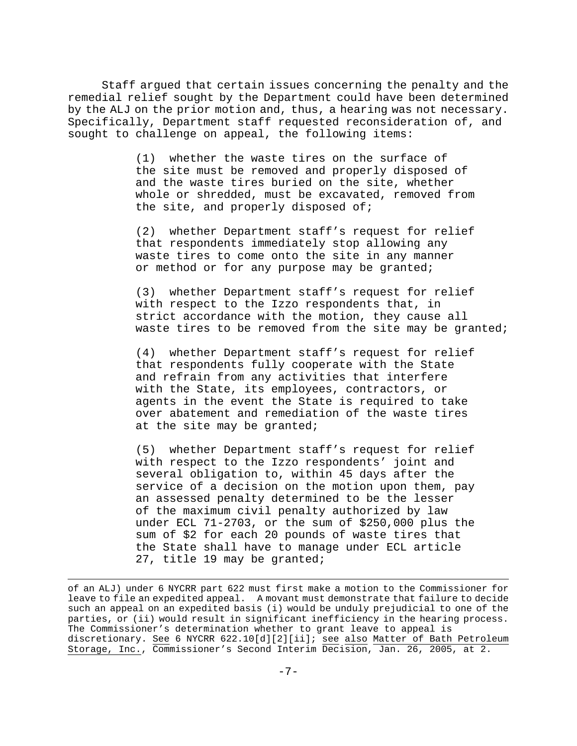Staff argued that certain issues concerning the penalty and the remedial relief sought by the Department could have been determined by the ALJ on the prior motion and, thus, a hearing was not necessary. Specifically, Department staff requested reconsideration of, and sought to challenge on appeal, the following items:

> (1) whether the waste tires on the surface of the site must be removed and properly disposed of and the waste tires buried on the site, whether whole or shredded, must be excavated, removed from the site, and properly disposed of;

> (2) whether Department staff's request for relief that respondents immediately stop allowing any waste tires to come onto the site in any manner or method or for any purpose may be granted;

 (3) whether Department staff's request for relief with respect to the Izzo respondents that, in strict accordance with the motion, they cause all waste tires to be removed from the site may be granted;

 (4) whether Department staff's request for relief that respondents fully cooperate with the State and refrain from any activities that interfere with the State, its employees, contractors, or agents in the event the State is required to take over abatement and remediation of the waste tires at the site may be granted;

 (5) whether Department staff's request for relief with respect to the Izzo respondents' joint and several obligation to, within 45 days after the service of a decision on the motion upon them, pay an assessed penalty determined to be the lesser of the maximum civil penalty authorized by law under ECL 71-2703, or the sum of \$250,000 plus the sum of \$2 for each 20 pounds of waste tires that the State shall have to manage under ECL article 27, title 19 may be granted;

i<br>L

of an ALJ) under 6 NYCRR part 622 must first make a motion to the Commissioner for leave to file an expedited appeal. A movant must demonstrate that failure to decide such an appeal on an expedited basis (i) would be unduly prejudicial to one of the parties, or (ii) would result in significant inefficiency in the hearing process. The Commissioner's determination whether to grant leave to appeal is discretionary. See 6 NYCRR 622.10[d][2][ii]; see also Matter of Bath Petroleum Storage, Inc., Commissioner's Second Interim Decision, Jan. 26, 2005, at 2.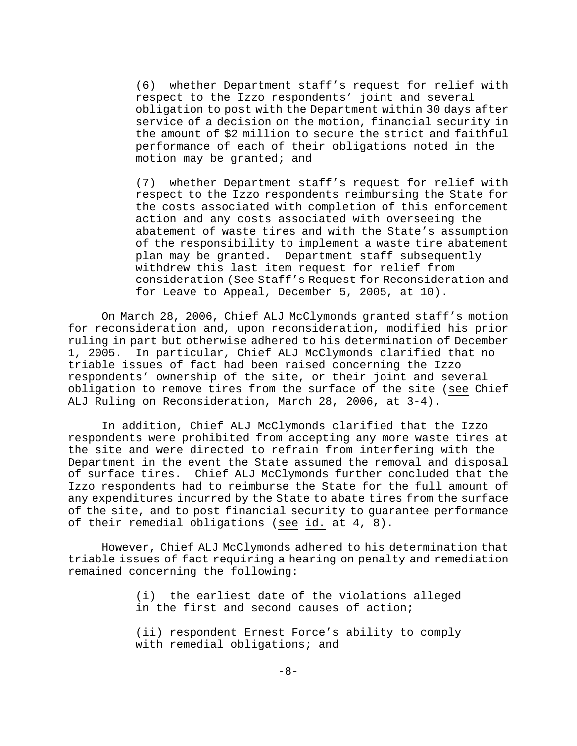(6) whether Department staff's request for relief with respect to the Izzo respondents' joint and several obligation to post with the Department within 30 days after service of a decision on the motion, financial security in the amount of \$2 million to secure the strict and faithful performance of each of their obligations noted in the motion may be granted; and

 (7) whether Department staff's request for relief with respect to the Izzo respondents reimbursing the State for the costs associated with completion of this enforcement action and any costs associated with overseeing the abatement of waste tires and with the State's assumption of the responsibility to implement a waste tire abatement plan may be granted. Department staff subsequently withdrew this last item request for relief from consideration (See Staff's Request for Reconsideration and for Leave to Appeal, December 5, 2005, at 10).

 On March 28, 2006, Chief ALJ McClymonds granted staff's motion for reconsideration and, upon reconsideration, modified his prior ruling in part but otherwise adhered to his determination of December 1, 2005. In particular, Chief ALJ McClymonds clarified that no triable issues of fact had been raised concerning the Izzo respondents' ownership of the site, or their joint and several obligation to remove tires from the surface of the site (see Chief ALJ Ruling on Reconsideration, March 28, 2006, at 3-4).

 In addition, Chief ALJ McClymonds clarified that the Izzo respondents were prohibited from accepting any more waste tires at the site and were directed to refrain from interfering with the Department in the event the State assumed the removal and disposal of surface tires. Chief ALJ McClymonds further concluded that the Izzo respondents had to reimburse the State for the full amount of any expenditures incurred by the State to abate tires from the surface of the site, and to post financial security to guarantee performance of their remedial obligations (see id. at 4, 8).

 However, Chief ALJ McClymonds adhered to his determination that triable issues of fact requiring a hearing on penalty and remediation remained concerning the following:

> (i) the earliest date of the violations alleged in the first and second causes of action;

> (ii) respondent Ernest Force's ability to comply with remedial obligations; and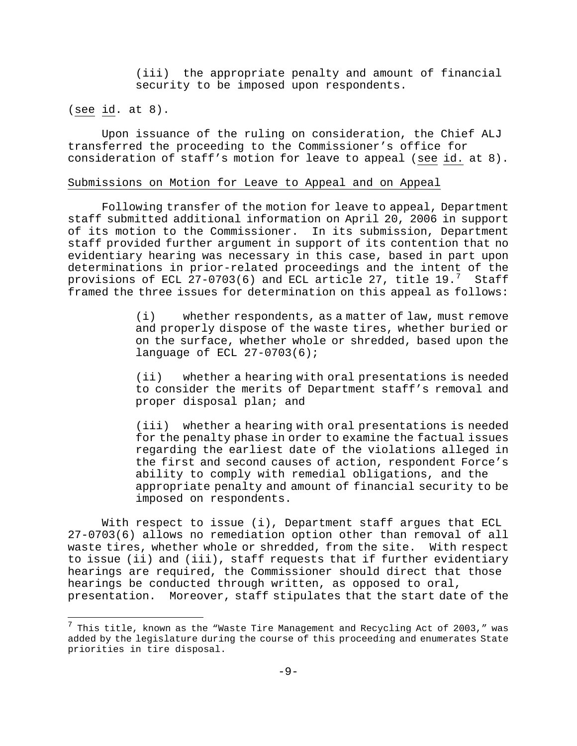(iii) the appropriate penalty and amount of financial security to be imposed upon respondents.

(see id. at 8).

i

 Upon issuance of the ruling on consideration, the Chief ALJ transferred the proceeding to the Commissioner's office for consideration of staff's motion for leave to appeal (see id. at 8).

#### Submissions on Motion for Leave to Appeal and on Appeal

 Following transfer of the motion for leave to appeal, Department staff submitted additional information on April 20, 2006 in support of its motion to the Commissioner. In its submission, Department staff provided further argument in support of its contention that no evidentiary hearing was necessary in this case, based in part upon determinations in prior-related proceedings and the intent of the provisions of ECL 2[7](#page-9-0)-0703(6) and ECL article 27, title 19.<sup>7</sup> Staff framed the three issues for determination on this appeal as follows:

> (i) whether respondents, as a matter of law, must remove and properly dispose of the waste tires, whether buried or on the surface, whether whole or shredded, based upon the language of ECL 27-0703(6);

> (ii) whether a hearing with oral presentations is needed to consider the merits of Department staff's removal and proper disposal plan; and

> (iii) whether a hearing with oral presentations is needed for the penalty phase in order to examine the factual issues regarding the earliest date of the violations alleged in the first and second causes of action, respondent Force's ability to comply with remedial obligations, and the appropriate penalty and amount of financial security to be imposed on respondents.

 With respect to issue (i), Department staff argues that ECL 27-0703(6) allows no remediation option other than removal of all waste tires, whether whole or shredded, from the site. With respect to issue (ii) and (iii), staff requests that if further evidentiary hearings are required, the Commissioner should direct that those hearings be conducted through written, as opposed to oral, presentation. Moreover, staff stipulates that the start date of the

<span id="page-9-0"></span> $^7$  This title, known as the "Waste Tire Management and Recycling Act of 2003," was added by the legislature during the course of this proceeding and enumerates State priorities in tire disposal.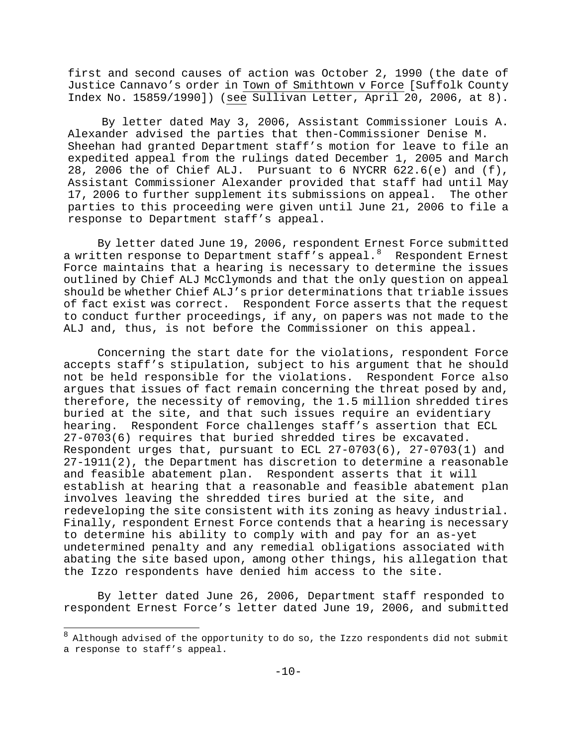first and second causes of action was October 2, 1990 (the date of Justice Cannavo's order in Town of Smithtown v Force [Suffolk County Index No. 15859/1990]) (see Sullivan Letter, April 20, 2006, at 8).

 By letter dated May 3, 2006, Assistant Commissioner Louis A. Alexander advised the parties that then-Commissioner Denise M. Sheehan had granted Department staff's motion for leave to file an expedited appeal from the rulings dated December 1, 2005 and March 28, 2006 the of Chief ALJ. Pursuant to 6 NYCRR 622.6(e) and (f), Assistant Commissioner Alexander provided that staff had until May 17, 2006 to further supplement its submissions on appeal. The other parties to this proceeding were given until June 21, 2006 to file a response to Department staff's appeal.

 By letter dated June 19, 2006, respondent Ernest Force submitted a written response to Department staff's appeal. $8$  Respondent Ernest Force maintains that a hearing is necessary to determine the issues outlined by Chief ALJ McClymonds and that the only question on appeal should be whether Chief ALJ's prior determinations that triable issues of fact exist was correct. Respondent Force asserts that the request to conduct further proceedings, if any, on papers was not made to the ALJ and, thus, is not before the Commissioner on this appeal.

 Concerning the start date for the violations, respondent Force accepts staff's stipulation, subject to his argument that he should not be held responsible for the violations. Respondent Force also argues that issues of fact remain concerning the threat posed by and, therefore, the necessity of removing, the 1.5 million shredded tires buried at the site, and that such issues require an evidentiary hearing. Respondent Force challenges staff's assertion that ECL 27-0703(6) requires that buried shredded tires be excavated. Respondent urges that, pursuant to ECL 27-0703(6), 27-0703(1) and 27-1911(2), the Department has discretion to determine a reasonable and feasible abatement plan. Respondent asserts that it will establish at hearing that a reasonable and feasible abatement plan involves leaving the shredded tires buried at the site, and redeveloping the site consistent with its zoning as heavy industrial. Finally, respondent Ernest Force contends that a hearing is necessary to determine his ability to comply with and pay for an as-yet undetermined penalty and any remedial obligations associated with abating the site based upon, among other things, his allegation that the Izzo respondents have denied him access to the site.

 By letter dated June 26, 2006, Department staff responded to respondent Ernest Force's letter dated June 19, 2006, and submitted

į.

<span id="page-10-0"></span> $8$  Although advised of the opportunity to do so, the Izzo respondents did not submit a response to staff's appeal.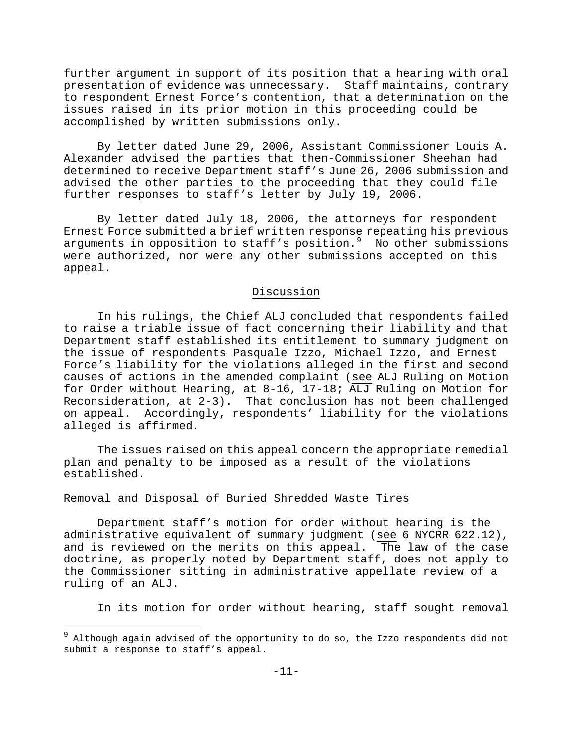further argument in support of its position that a hearing with oral presentation of evidence was unnecessary. Staff maintains, contrary to respondent Ernest Force's contention, that a determination on the issues raised in its prior motion in this proceeding could be accomplished by written submissions only.

 By letter dated June 29, 2006, Assistant Commissioner Louis A. Alexander advised the parties that then-Commissioner Sheehan had determined to receive Department staff's June 26, 2006 submission and advised the other parties to the proceeding that they could file further responses to staff's letter by July 19, 2006.

 By letter dated July 18, 2006, the attorneys for respondent Ernest Force submitted a brief written response repeating his previous arguments in opposition to staff's position. $9$  No other submissions were authorized, nor were any other submissions accepted on this appeal.

## Discussion

 In his rulings, the Chief ALJ concluded that respondents failed to raise a triable issue of fact concerning their liability and that Department staff established its entitlement to summary judgment on the issue of respondents Pasquale Izzo, Michael Izzo, and Ernest Force's liability for the violations alleged in the first and second causes of actions in the amended complaint (see ALJ Ruling on Motion for Order without Hearing, at 8-16, 17-18; ALJ Ruling on Motion for Reconsideration, at 2-3). That conclusion has not been challenged on appeal. Accordingly, respondents' liability for the violations alleged is affirmed.

 The issues raised on this appeal concern the appropriate remedial plan and penalty to be imposed as a result of the violations established.

## Removal and Disposal of Buried Shredded Waste Tires

 $\overline{a}$ 

 Department staff's motion for order without hearing is the administrative equivalent of summary judgment (see 6 NYCRR 622.12), and is reviewed on the merits on this appeal. The law of the case doctrine, as properly noted by Department staff, does not apply to the Commissioner sitting in administrative appellate review of a ruling of an ALJ.

In its motion for order without hearing, staff sought removal

<span id="page-11-0"></span>Although again advised of the opportunity to do so, the Izzo respondents did not submit a response to staff's appeal.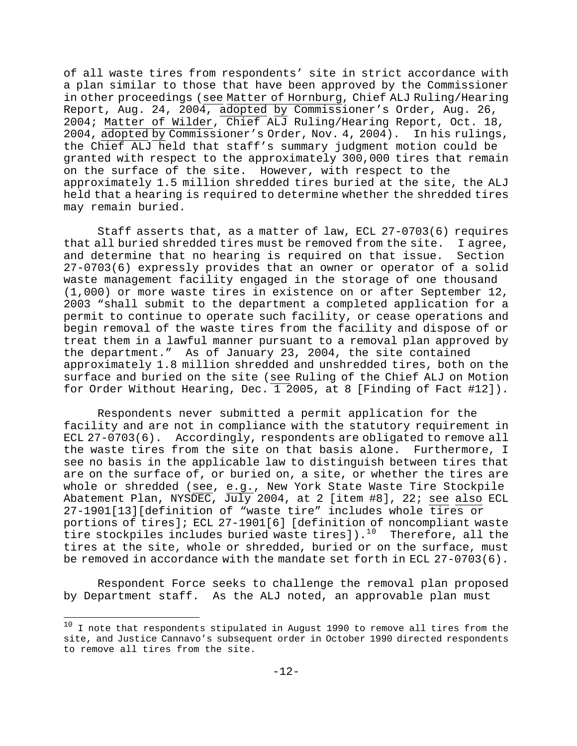of all waste tires from respondents' site in strict accordance with a plan similar to those that have been approved by the Commissioner in other proceedings (see Matter of Hornburg, Chief ALJ Ruling/Hearing Report, Aug. 24, 2004, adopted by Commissioner's Order, Aug. 26, 2004; Matter of Wilder, Chief ALJ Ruling/Hearing Report, Oct. 18, 2004, adopted by Commissioner's Order, Nov. 4, 2004). In his rulings, the Chief ALJ held that staff's summary judgment motion could be granted with respect to the approximately 300,000 tires that remain on the surface of the site. However, with respect to the approximately 1.5 million shredded tires buried at the site, the ALJ held that a hearing is required to determine whether the shredded tires may remain buried.

treat them in a lawful manner pursuant to a removal plan approved by Staff asserts that, as a matter of law, ECL 27-0703(6) requires that all buried shredded tires must be removed from the site. I agree, and determine that no hearing is required on that issue. Section 27-0703(6) expressly provides that an owner or operator of a solid waste management facility engaged in the storage of one thousand (1,000) or more waste tires in existence on or after September 12, 2003 "shall submit to the department a completed application for a permit to continue to operate such facility, or cease operations and begin removal of the waste tires from the facility and dispose of or the department." As of January 23, 2004, the site contained approximately 1.8 million shredded and unshredded tires, both on the surface and buried on the site (see Ruling of the Chief ALJ on Motion for Order Without Hearing, Dec.  $\overline{1}$  2005, at 8 [Finding of Fact #12]).

Respondents never submitted a permit application for the facility and are not in compliance with the statutory requirement in ECL 27-0703(6). Accordingly, respondents are obligated to remove all the waste tires from the site on that basis alone. Furthermore, I see no basis in the applicable law to distinguish between tires that are on the surface of, or buried on, a site, or whether the tires are whole or shredded (see, e.g., New York State Waste Tire Stockpile Abatement Plan, NYSDEC, July 2004, at 2 [item #8], 22; see also ECL 27-1901[13][definition of "waste tire" includes whole tires or portions of tires]; ECL 27-1901[6] [definition of noncompliant waste tire stockpiles includes buried waste tires]).<sup>1[0](#page-12-0)</sup> Therefore, all the tires at the site, whole or shredded, buried or on the surface, must be removed in accordance with the mandate set forth in ECL 27-0703(6).

 Respondent Force seeks to challenge the removal plan proposed by Department staff. As the ALJ noted, an approvable plan must

 $\overline{a}$ 

<span id="page-12-0"></span> $^{10}$  I note that respondents stipulated in August 1990 to remove all tires from the site, and Justice Cannavo's subsequent order in October 1990 directed respondents to remove all tires from the site.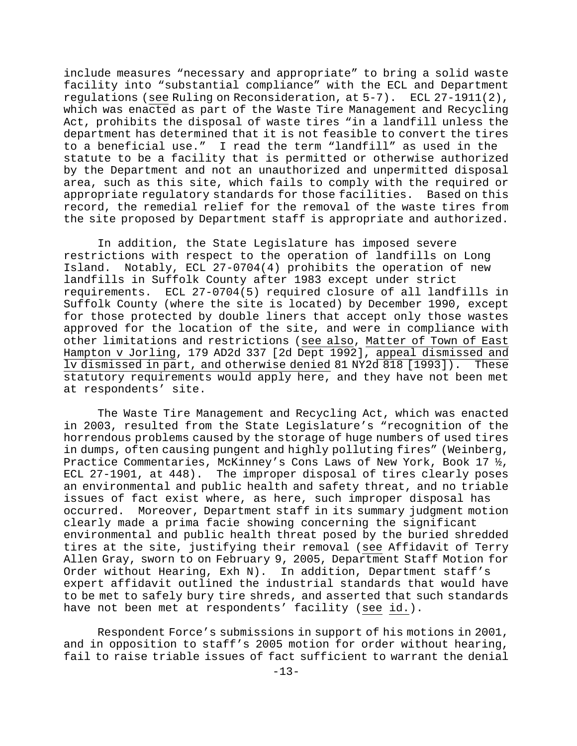include measures "necessary and appropriate" to bring a solid waste facility into "substantial compliance" with the ECL and Department regulations (see Ruling on Reconsideration, at 5-7). ECL 27-1911(2), which was enacted as part of the Waste Tire Management and Recycling Act, prohibits the disposal of waste tires "in a landfill unless the department has determined that it is not feasible to convert the tires to a beneficial use." I read the term "landfill" as used in the statute to be a facility that is permitted or otherwise authorized by the Department and not an unauthorized and unpermitted disposal area, such as this site, which fails to comply with the required or appropriate regulatory standards for those facilities. Based on this record, the remedial relief for the removal of the waste tires from the site proposed by Department staff is appropriate and authorized.

 In addition, the State Legislature has imposed severe restrictions with respect to the operation of landfills on Long Island. Notably, ECL 27-0704(4) prohibits the operation of new landfills in Suffolk County after 1983 except under strict requirements. ECL 27-0704(5) required closure of all landfills in Suffolk County (where the site is located) by December 1990, except for those protected by double liners that accept only those wastes approved for the location of the site, and were in compliance with other limitations and restrictions (see also, Matter of Town of East Hampton v Jorling, 179 AD2d 337 [2d Dept 1992], appeal dismissed and lv dismissed in part, and otherwise denied 81 NY2d 818 [1993]). These statutory requirements would apply here, and they have not been met at respondents' site.

 The Waste Tire Management and Recycling Act, which was enacted in 2003, resulted from the State Legislature's "recognition of the horrendous problems caused by the storage of huge numbers of used tires in dumps, often causing pungent and highly polluting fires" (Weinberg, Practice Commentaries, McKinney's Cons Laws of New York, Book 17 ½, ECL 27-1901, at 448). The improper disposal of tires clearly poses an environmental and public health and safety threat, and no triable issues of fact exist where, as here, such improper disposal has occurred. Moreover, Department staff in its summary judgment motion clearly made a prima facie showing concerning the significant environmental and public health threat posed by the buried shredded tires at the site, justifying their removal (see Affidavit of Terry Allen Gray, sworn to on February 9, 2005, Department Staff Motion fo r Order without Hearing, Exh N). In addition, Department staff's expert affidavit outlined the industrial standards that would have to be met to safely bury tire shreds, and asserted that suc h standards have not been met at respondents' facility (see id.).

 Respondent Force's submissions in support of his motions in 2001, and in opposition to staff's 2005 motion for order without hearing, fail to raise triable issues of fact sufficient to warrant the denial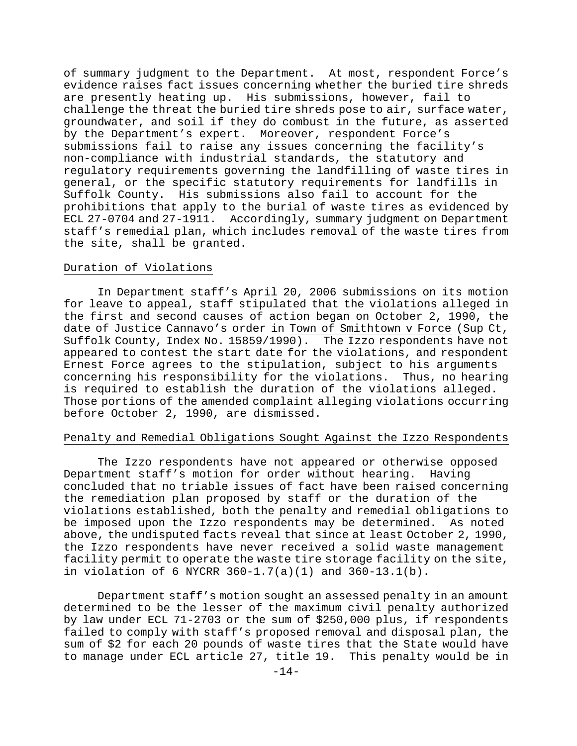evidence raises fact issues concerning whether the buried tire shreds groundwater, and soil if they do combust in the future, as asserted general, or the specific statutory requirements for landfills in staff's remedial plan, which includes removal of the waste tires from the site, shall be granted. of summary judgment to the Department. At most, respondent Force's are presently heating up. His submissions, however, fail to challenge the threat the buried tire shreds pose to air, surface water, by the Department's expert. Moreover, respondent Force's submissions fail to raise any issues concerning the facility's non-compliance with industrial standards, the statutory and regulatory requirements governing the landfilling of waste tires in Suffolk County. His submissions also fail to account for the prohibitions that apply to the burial of waste tires as evidenced by ECL 27-0704 and 27-1911. Accordingly, summary judgment on Department

#### Duration of Violations

 In Department staff's April 20, 2006 submissions on its motion for leave to appeal, staff stipulated that the violations alleged in the first and second causes of action began on October 2, 1990, the date of Justice Cannavo's order in Town of Smithtown v Force (Sup Ct, Suffolk County, Index No. 15859/1990). The Izzo respondents have not appeared to contest the start date for the violations, and respondent Ernest Force agrees to the stipulation, subject to his arguments concerning his responsibility for the violations. Thus, no hearing is required to establish the duration of the violations alleged. Those portions of the amended complaint alleging violations occurring before October 2, 1990, are dismissed.

## Penalty and Remedial Obligations Sought Against the Izzo Respondents

The Izzo respondents have not appeared or otherwise opposed facility permit to operate the waste tire storage facility on the site, in violation of 6 NYCRR  $360-1.7(a)(1)$  and  $360-13.1(b)$ . Department staff's motion for order without hearing. Having concluded that no triable issues of fact have been raised concerning the remediation plan proposed by staff or the duration of the violations established, both the penalty and remedial obligations to be imposed upon the Izzo respondents may be determined. As noted above, the undisputed facts reveal that since at least October 2, 1990, the Izzo respondents have never received a solid waste management

 Department staff's motion sought an assessed penalty in an amount determined to be the lesser of the maximum civil penalty authorized by law under ECL 71-2703 or the sum of \$250,000 plus, if respondents failed to comply with staff's proposed removal and disposal plan, the sum of \$2 for each 20 pounds of waste tires that the State would have to manage under ECL article 27, title 19. This penalty would be in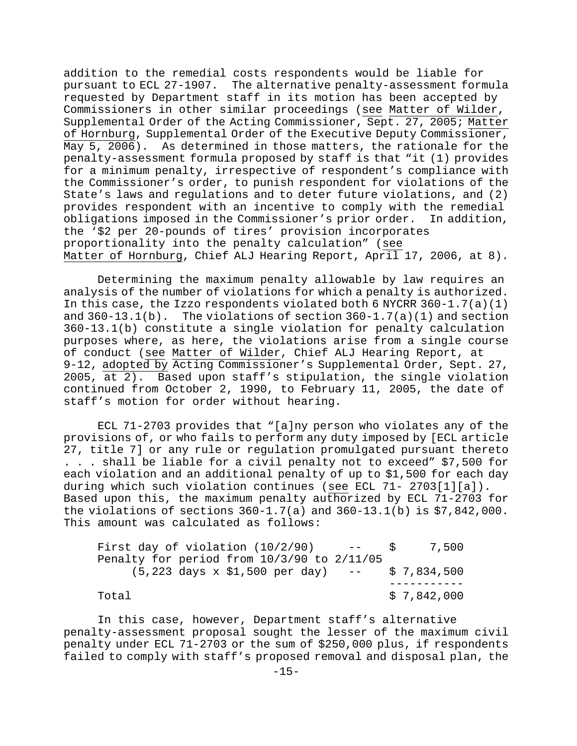addition to the remedial costs respondents would be liable for pursuant to ECL 27-1907. The alternative penalty-assessment formula requested by Department staff in its motion has been accepted by Commissioners in other similar proceedings (see Matter of Wilder, Supplemental Order of the Acting Commissioner, Sept. 27, 2005; Matter of Hornburg, Supplemental Order of the Executive Deputy Commissioner, May 5, 2006). As determined in those matters, the rationale for the penalty-assessment formula proposed by staff is that "it (1) provides for a minimum penalty, irrespective of respondent's compliance with the Commissioner's order, to punish respondent for violations of the State's laws and regulations and to deter future violations, and (2) provides respondent with an incentive to comply with the remedial obligations imposed in the Commissioner's prior order. the '\$2 per 20-pounds of tires' provision incorporate s In addition, proportionality into the penalty calculation" (see Matter of Hornburg, Chief ALJ Hearing Report, April 17, 2006, at 8).

 Determining the maximum penalty allowable by law requires an analysis of the number of violations for which a penalty is authorized. In this case, the Izzo respondents violated both 6 NYCRR  $360-1.7(a)(1)$ and  $360-13.1(b)$ . The violations of section  $360-1.7(a)(1)$  and section 360-13.1(b) constitute a single violation for penalty calculation purposes where, as here, the violations arise from a single course of conduct (see Matter of Wilder, Chief ALJ Hearing Report, at 9-12, adopted by Acting Commissioner's Supplemental Order, Sept. 27, 2005, at 2). Based upon staff's stipulation, the single violation continued from October 2, 1990, to February 11, 2005, the date of staff's motion for order without hearing.

 ECL 71-2703 provides that "[a]ny person who violates any of the provisions of, or who fails to perform any duty imposed by [ECL article 27, title 7] or any rule or regulation promulgated pursuant thereto . . . shall be liable for a civil penalty not to exceed" \$7,500 for each violation and an additional penalty of up to \$1,500 for each day during which such violation continues (see ECL 71- 2703[1][a]). Based upon this, the maximum penalty authorized by ECL 71-2703 for the violations of sections  $360-1.7(a)$  and  $360-13.1(b)$  is  $$7,842,000$ . This amount was calculated as follows:

| First day of violation $(10/2/90)$ --            |  | 7.500       |
|--------------------------------------------------|--|-------------|
| Penalty for period from 10/3/90 to 2/11/05       |  |             |
| $(5,223$ days x \$1,500 per day) -- \$ 7,834,500 |  |             |
|                                                  |  |             |
| Total                                            |  | \$7,842,000 |

 In this case, however, Department staff's alternative penalty-assessment proposal sought the lesser of the maximum civil penalty under ECL 71-2703 or the sum of \$250,000 plus, if respondents failed to comply with staff's proposed removal and disposal plan, the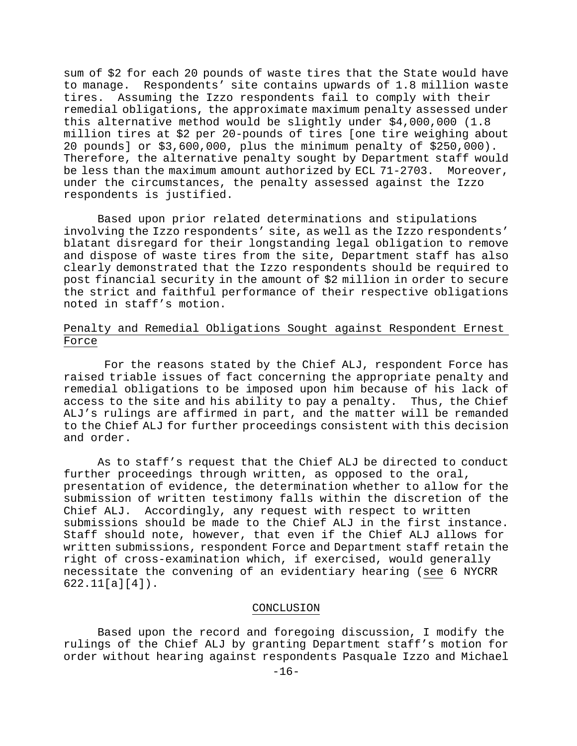to manage. Respondents' site contains upwards of 1.8 million waste under the circumstances, the penalty assessed against the Izzo respondents is justified. sum of \$2 for each 20 pounds of waste tires that the State would have tires. Assuming the Izzo respondents fail to comply with their remedial obligations, the approximate maximum penalty assessed under this alternative method would be slightly under \$4,000,000 (1.8 million tires at \$2 per 20-pounds of tires [one tire weighing about 20 pounds] or \$3,600,000, plus the minimum penalty of \$250,000). Therefore, the alternative penalty sought by Department staff would be less than the maximum amount authorized by ECL 71-2703. Moreover,

noted in staff's motion. Based upon prior related determinations and stipulations involving the Izzo respondents' site, as well as the Izzo respondents' blatant disregard for their longstanding legal obligation to remove and dispose of waste tires from the site, Department staff has also clearly demonstrated that the Izzo respondents should be required to post financial security in the amount of \$2 million in order to secure the strict and faithful performance of their respective obligations

# Penalty and Remedial Obligations Sought against Respondent Ernest Force

to the Chief ALJ for further proceedings consistent with this decision and order. For the reasons stated by the Chief ALJ, respondent Force has raised triable issues of fact concerning the appropriate penalty and remedial obligations to be imposed upon him because of his lack of access to the site and his ability to pay a penalty. Thus, the Chief ALJ's rulings are affirmed in part, and the matter will be remanded

As to staff's request that the Chief ALJ be directed to conduct written submissions, respondent Force and Department staff retain the necessitate the convening of an evidentiary hearing (see 6 NYCRR further proceedings through written, as opposed to the oral, presentation of evidence, the determination whether to allow for the submission of written testimony falls within the discretion of the Chief ALJ. Accordingly, any request with respect to written submissions should be made to the Chief ALJ in the first instance. Staff should note, however, that even if the Chief ALJ allows for right of cross-examination which, if exercised, would generally 622.11[a][4]).

#### CONCLUSION

 Based upon the record and foregoing discussion, I modify the rulings of the Chief ALJ by granting Department staff's motion for order without hearing against respondents Pasquale Izzo and Michael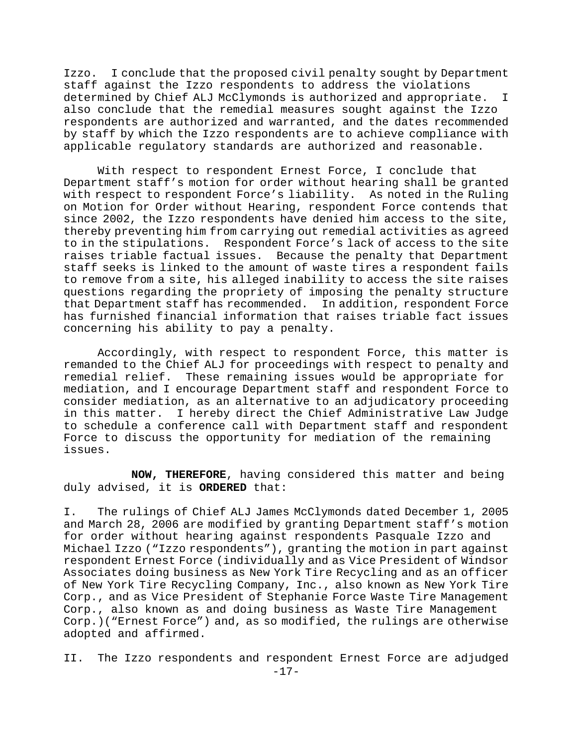Izzo. I conclude that the proposed civil penalty sought by Department by staff by which the Izzo respondents are to achieve compliance with staff against the Izzo respondents to address the violations determined by Chief ALJ McClymonds is authorized and appropriate. I also conclude that the remedial measures sought against the Izzo respondents are authorized and warranted, and the dates recommended applicable regulatory standards are authorized and reasonable.

has furnished financial information that raises triable fact issues concerning his ability to pay a penalty. With respect to respondent Ernest Force, I conclude that Department staff's motion for order without hearing shall be granted with respect to respondent Force's liability. As noted in the Ruling on Motion for Order without Hearing, respondent Force contends that since 2002, the Izzo respondents have denied him access to the site, thereby preventing him from carrying out remedial activities as agreed to in the stipulations. Respondent Force's lack of access to the site raises triable factual issues. Because the penalty that Department staff seeks is linked to the amount of waste tires a respondent fails to remove from a site, his alleged inability to access the site raises questions regarding the propriety of imposing the penalty structure that Department staff has recommended. In addition, respondent Force

to schedule a conference call with Department staff and respondent Force to discuss the opportunity for mediation of the remaining issues. Accordingly, with respect to respondent Force, this matter is remanded to the Chief ALJ for proceedings with respect to penalty and remedial relief. These remaining issues would be appropriate for mediation, and I encourage Department staff and respondent Force to consider mediation, as an alternative to an adjudicatory proceeding in this matter. I hereby direct the Chief Administrative Law Judge

**NOW, THEREFORE**, having considered this matter and being duly advised, it is **ORDERED** that:

Corp.)("Ernest Force") and, as so modified, the rulings are otherwise adopted and affirmed. I. The rulings of Chief ALJ James McClymonds dated December 1, 2005 and March 28, 2006 are modified by granting Department staff's motion for order without hearing against respondents Pasquale Izzo and Michael Izzo ("Izzo respondents"), granting the motion in part against respondent Ernest Force (individually and as Vice President of Windsor Associates doing business as New York Tire Recycling and as an officer of New York Tire Recycling Company, Inc., also known as New York Tire Corp., and as Vice President of Stephanie Force Waste Tire Management Corp., also known as and doing business as Waste Tire Management

II. The Izzo respondents and respondent Ernest Force are adjudged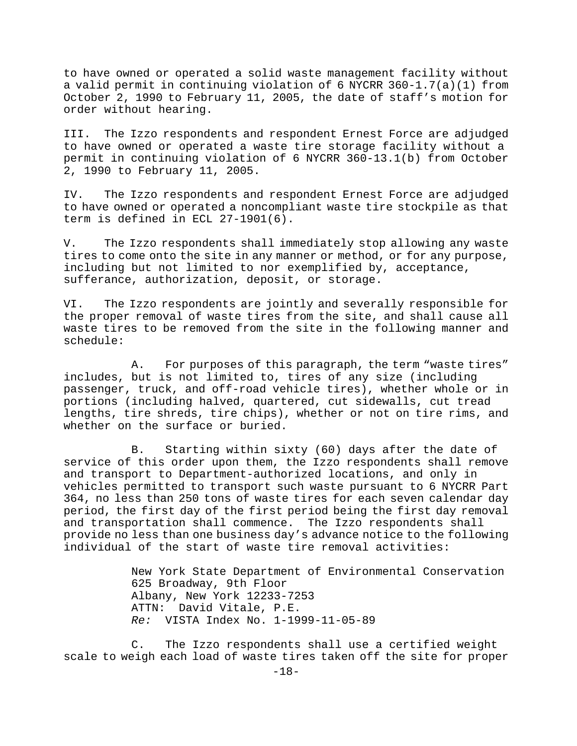October 2, 1990 to February 11, 2005, the date of staff's motion for to have owned or operated a solid waste management facility without a valid permit in continuing violation of 6 NYCRR 360-1.7(a)(1) from order without hearing.

III. The Izzo respondents and respondent Ernest Force are adjudged to have owned or operated a waste tire storage facility without a permit in continuing violation of 6 NYCRR 360-13.1(b) from October 2, 1990 to February 11, 2005.

to have owned or operated a noncompliant waste tire stockpile as that term is defined in ECL 27-1901(6). IV. The Izzo respondents and respondent Ernest Force are adjudged

tires to come onto the site in any manner or method, or for any purpose, V. The Izzo respondents shall immediately stop allowing any waste including but not limited to nor exemplified by, acceptance, sufferance, authorization, deposit, or storage.

waste tires to be removed from the site in the following manner and schedule: VI. The Izzo respondents are jointly and severally responsible for the proper removal of waste tires from the site, and shall cause all

whether on the surface or buried. A. For purposes of this paragraph, the term "waste tires" includes, but is not limited to, tires of any size (including passenger, truck, and off-road vehicle tires), whether whole or in portions (including halved, quartered, cut sidewalls, cut tread lengths, tire shreds, tire chips), whether or not on tire rims, and

service of this order upon them, the Izzo respondents shall remove individual of the start of waste tire removal activities: B. Starting within sixty (60) days after the date of and transport to Department-authorized locations, and only in vehicles permitted to transport such waste pursuant to 6 NYCRR Part 364, no less than 250 tons of waste tires for each seven calendar day period, the first day of the first period being the first day removal and transportation shall commence. The Izzo respondents shall provide no less than one business day's advance notice to the following

New York State Department of Environmental Conservation VISTA Index No. 1-1999-11-05-89 *Re:* 625 Broadway, 9th Floor Albany, New York 12233-7253 ATTN: David Vitale, P.E.

 C. The Izzo respondents shall use a certified weight scale to weigh each load of waste tires taken off the site for proper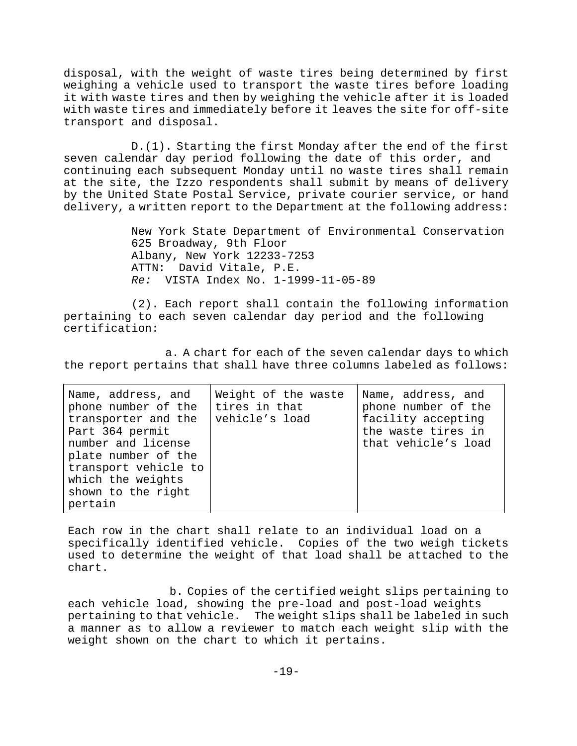with waste tires and immediately before it leaves the site for off-site transport and disposal. disposal, with the weight of waste tires being determined by first weighing a vehicle used to transport the waste tires before loading it with waste tires and then by weighing the vehicle after it is loaded

delivery, a written report to the Department at the following address: D.(1). Starting the first Monday after the end of the first seven calendar day period following the date of this order, and continuing each subsequent Monday until no waste tires shall remain at the site, the Izzo respondents shall submit by means of delivery by the United State Postal Service, private courier service, or hand

New York State Department of Environmental Conservation 625 Broadway, 9th Floor Albany, New York 12233-7253 ATTN: David Vitale, P.E. *Re:* VISTA Index No. 1-1999-11-05-89

pertaining to each seven calendar day period and the following certification: (2). Each report shall contain the following information

the report pertains that shall have three columns labeled as follows: a. A chart for each of the seven calendar days to which

| Name, address, and<br>phone number of the<br>transporter and the<br>Part 364 permit<br>number and license<br>plate number of the<br>transport vehicle to<br>which the weights<br>shown to the right<br>pertain | Weight of the waste<br>tires in that<br>vehicle's load | Name, address, and<br>phone number of the<br>facility accepting<br>the waste tires in<br>that vehicle's load |
|----------------------------------------------------------------------------------------------------------------------------------------------------------------------------------------------------------------|--------------------------------------------------------|--------------------------------------------------------------------------------------------------------------|
|----------------------------------------------------------------------------------------------------------------------------------------------------------------------------------------------------------------|--------------------------------------------------------|--------------------------------------------------------------------------------------------------------------|

used to determine the weight of that load shall be attached to the chart. Each row in the chart shall relate to an individual load on a specifically identified vehicle. Copies of the two weigh tickets

a manner as to allow a reviewer to match each weight slip with the weight shown on the chart to which it pertains. b. Copies of the certified weight slips pertaining to each vehicle load, showing the pre-load and post-load weights pertaining to that vehicle. The weight slips shall be labeled in such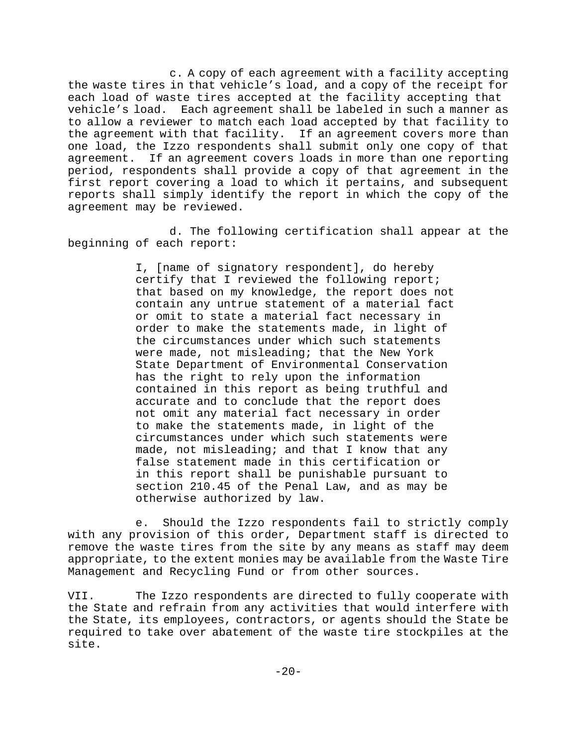reports shall simply identify the report in which the copy of the agreement may be reviewed. c. A copy of each agreement with a facility accepting the waste tires in that vehicle's load, and a copy of the receipt for each load of waste tires accepted at the facility accepting that vehicle's load. Each agreement shall be labeled in such a manner as to allow a reviewer to match each load accepted by that facility to the agreement with that facility. If an agreement covers more than one load, the Izzo respondents shall submit only one copy of that agreement. If an agreement covers loads in more than one reporting period, respondents shall provide a copy of that agreement in the first report covering a load to which it pertains, and subsequent

d. The following certification shall appear at the beginning of each report:

section 210.45 of the Penal Law, and as may be I, [name of signatory respondent], do hereby certify that I reviewed the following report; that based on my knowledge, the report does not contain any untrue statement of a material fact or omit to state a material fact necessary in order to make the statements made, in light of the circumstances under which such statements were made, not misleading; that the New York State Department of Environmental Conservation has the right to rely upon the information contained in this report as being truthful and accurate and to conclude that the report does not omit any material fact necessary in order to make the statements made, in light of the circumstances under which such statements were made, not misleading; and that I know that any false statement made in this certification or in this report shall be punishable pursuant to otherwise authorized by law.

appropriate, to the extent monies may be available from the Waste Tire nagement and Recycling Fund or from other sources. Ma e. Should the Izzo respondents fail to strictly comply with any provision of this order, Department staff is directed to remove the waste tires from the site by any means as staff may deem

VII. The Izzo respondents are directed to fully cooperate with the State and refrain from any activities that would interfere with the State, its employees, contractors, or agents should the State be required to take over abatement of the waste tire stockpiles at the site.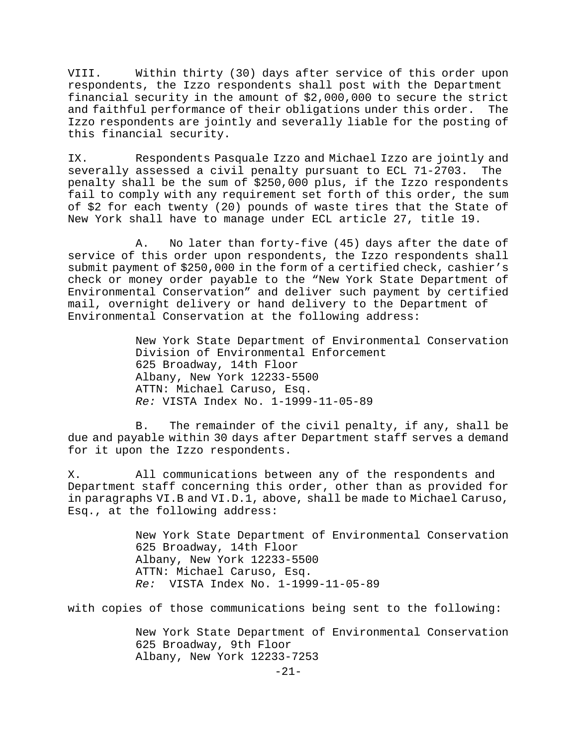Izzo respondents are jointly and severally liable for the posting of this financial security. VIII. Within thirty (30) days after service of this order upon respondents, the Izzo respondents shall post with the Department financial security in the amount of \$2,000,000 to secure the strict and faithful performance of their obligations under this order. The

of of \$2 for each twenty (20) pounds of waste tires that the State New York shall have to manage under ECL article 27, title 19. IX. Respondents Pasquale Izzo and Michael Izzo are jointly and severally assessed a civil penalty pursuant to ECL 71-2703. The penalty shall be the sum of \$250,000 plus, if the Izzo respondents fail to comply with any requirement set forth of this order, the sum

mail, overnight delivery or hand delivery to the Department of Environmental Conservation at the following address: A. No later than forty-five (45) days after the date of service of this order upon respondents, the Izzo respondents shall submit payment of \$250,000 in the form of a certified check, cashier's check or money order payable to the "New York State Department of Environmental Conservation" and deliver such payment by certified

New York State Department of Environmental Conservation Division of Environmental Enforcement 625 Broadway, 14th Floor Albany, New York 12233-5500 ATTN: Michael Caruso, Esq. *Re:* VISTA Index No. 1-1999-11-05-89

due and payable within 30 days after Department staff serves a demand for it upon the Izzo respondents. B. The remainder of the civil penalty, if any, shall be

in paragraphs VI.B and VI.D.1, above, shall be made to Michael Caruso, Esq., at the following address: X. All communications between any of the respondents and Department staff concerning this order, other than as provided for

> *Re:* VISTA Index No. 1-1999-11-05-89 New York State Department of Environmental Conservation 625 Broadway, 14th Floor Albany, New York 12233-5500 ATTN: Michael Caruso, Esq.

with copies of those communications being sent to the following:

New York State Department of Environmental Conservation 625 Broadway, 9th Floor Albany, New York 12233-7253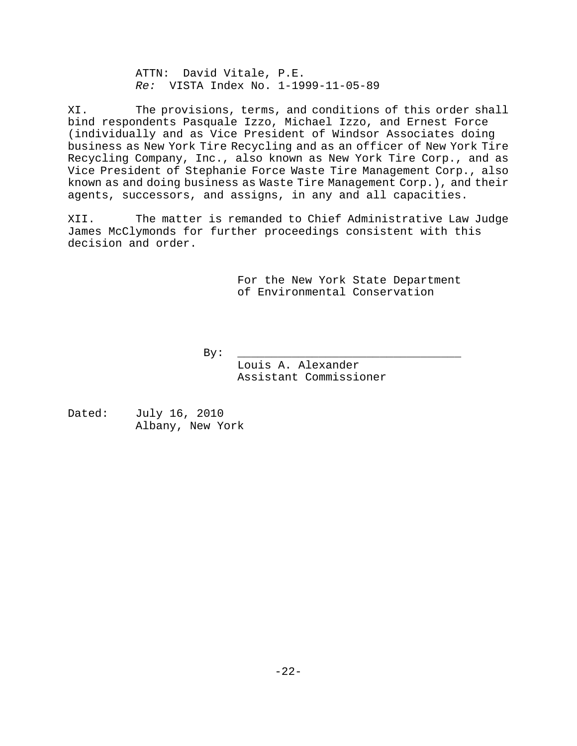*Re:* VISTA Index No. 1-1999-11-05-89 ATTN: David Vitale, P.E.

XI. The provisions, terms, and conditions of this order shall agents, successors, and assigns, in any and all capacities. bind respondents Pasquale Izzo, Michael Izzo, and Ernest Force (individually and as Vice President of Windsor Associates doing business as New York Tire Recycling and as an officer of New York Tire Recycling Company, Inc., also known as New York Tire Corp., and as Vice President of Stephanie Force Waste Tire Management Corp., also known as and doing business as Waste Tire Management Corp.), and their

XII. The matter is remanded to Chief Administrative Law Judge James McClymonds for further proceedings consistent with this decision and order.

> For the New York State Department of Environmental Conservation

> > $\overline{\phantom{a}}$  , we can also the contract of  $\overline{\phantom{a}}$

By: \_\_\_\_\_\_\_\_\_\_\_\_\_\_\_\_\_\_\_\_\_\_\_\_

 Assistant Commissioner Louis A. Alexander

Dated: July 16, 2010 Albany, New York